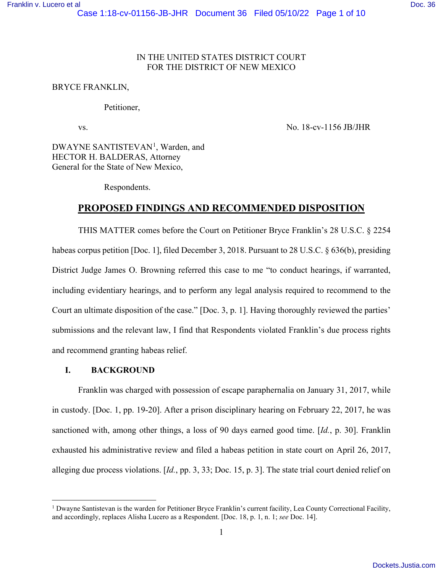### IN THE UNITED STATES DISTRICT COURT FOR THE DISTRICT OF NEW MEXICO

#### BRYCE FRANKLIN,

#### Petitioner,

vs. No. 18-cv-1156 JB/JHR

DWAYNE SANTISTEVAN<sup>[1](#page-0-0)</sup>, Warden, and HECTOR H. BALDERAS, Attorney General for the State of New Mexico,

Respondents.

# **PROPOSED FINDINGS AND RECOMMENDED DISPOSITION**

THIS MATTER comes before the Court on Petitioner Bryce Franklin's 28 U.S.C. § 2254 habeas corpus petition [Doc. 1], filed December 3, 2018. Pursuant to 28 U.S.C. § 636(b), presiding District Judge James O. Browning referred this case to me "to conduct hearings, if warranted, including evidentiary hearings, and to perform any legal analysis required to recommend to the Court an ultimate disposition of the case." [Doc. 3, p. 1]. Having thoroughly reviewed the parties' submissions and the relevant law, I find that Respondents violated Franklin's due process rights and recommend granting habeas relief.

## **I. BACKGROUND**

Franklin was charged with possession of escape paraphernalia on January 31, 2017, while in custody. [Doc. 1, pp. 19-20]. After a prison disciplinary hearing on February 22, 2017, he was sanctioned with, among other things, a loss of 90 days earned good time. [*Id.*, p. 30]. Franklin exhausted his administrative review and filed a habeas petition in state court on April 26, 2017, alleging due process violations. [*Id.*, pp. 3, 33; Doc. 15, p. 3]. The state trial court denied relief on

<span id="page-0-0"></span><sup>&</sup>lt;sup>1</sup> Dwayne Santistevan is the warden for Petitioner Bryce Franklin's current facility, Lea County Correctional Facility, and accordingly, replaces Alisha Lucero as a Respondent. [Doc. 18, p. 1, n. 1; *see* Doc. 14].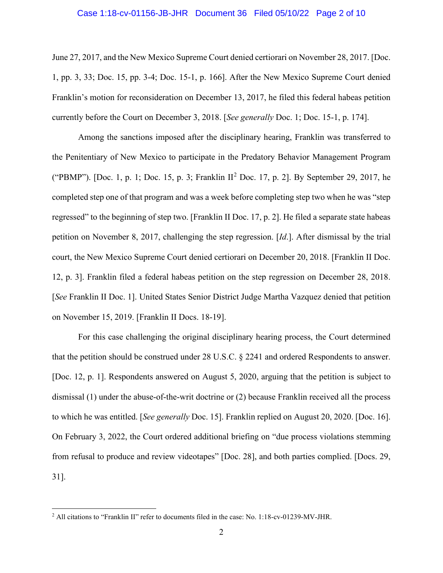#### Case 1:18-cv-01156-JB-JHR Document 36 Filed 05/10/22 Page 2 of 10

June 27, 2017, and the New Mexico Supreme Court denied certiorari on November 28, 2017. [Doc. 1, pp. 3, 33; Doc. 15, pp. 3-4; Doc. 15-1, p. 166]. After the New Mexico Supreme Court denied Franklin's motion for reconsideration on December 13, 2017, he filed this federal habeas petition currently before the Court on December 3, 2018. [*See generally* Doc. 1; Doc. 15-1, p. 174].

Among the sanctions imposed after the disciplinary hearing, Franklin was transferred to the Penitentiary of New Mexico to participate in the Predatory Behavior Management Program ("PBMP"). [Doc. 1, p. 1; Doc. 15, p. 3; Franklin II[2](#page-1-0) Doc. 17, p. 2]. By September 29, 2017, he completed step one of that program and was a week before completing step two when he was "step regressed" to the beginning of step two. [Franklin II Doc. 17, p. 2]. He filed a separate state habeas petition on November 8, 2017, challenging the step regression. [*Id*.]. After dismissal by the trial court, the New Mexico Supreme Court denied certiorari on December 20, 2018. [Franklin II Doc. 12, p. 3]. Franklin filed a federal habeas petition on the step regression on December 28, 2018. [*See* Franklin II Doc. 1]. United States Senior District Judge Martha Vazquez denied that petition on November 15, 2019. [Franklin II Docs. 18-19].

For this case challenging the original disciplinary hearing process, the Court determined that the petition should be construed under 28 U.S.C. § 2241 and ordered Respondents to answer. [Doc. 12, p. 1]. Respondents answered on August 5, 2020, arguing that the petition is subject to dismissal (1) under the abuse-of-the-writ doctrine or (2) because Franklin received all the process to which he was entitled. [*See generally* Doc. 15]. Franklin replied on August 20, 2020. [Doc. 16]. On February 3, 2022, the Court ordered additional briefing on "due process violations stemming from refusal to produce and review videotapes" [Doc. 28], and both parties complied. [Docs. 29, 31].

<span id="page-1-0"></span><sup>2</sup> All citations to "Franklin II" refer to documents filed in the case: No. 1:18-cv-01239-MV-JHR.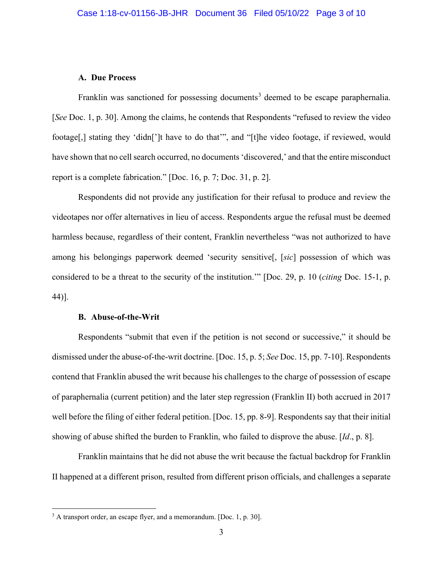#### **A. Due Process**

Franklin was sanctioned for possessing documents<sup>[3](#page-2-0)</sup> deemed to be escape paraphernalia. [*See* Doc. 1, p. 30]. Among the claims, he contends that Respondents "refused to review the video footage[,] stating they 'didn[']t have to do that'", and "[t]he video footage, if reviewed, would have shown that no cell search occurred, no documents 'discovered,' and that the entire misconduct report is a complete fabrication." [Doc. 16, p. 7; Doc. 31, p. 2].

Respondents did not provide any justification for their refusal to produce and review the videotapes nor offer alternatives in lieu of access. Respondents argue the refusal must be deemed harmless because, regardless of their content, Franklin nevertheless "was not authorized to have among his belongings paperwork deemed 'security sensitive[, [*sic*] possession of which was considered to be a threat to the security of the institution.'" [Doc. 29, p. 10 (*citing* Doc. 15-1, p. 44)].

#### **B. Abuse-of-the-Writ**

 Respondents "submit that even if the petition is not second or successive," it should be dismissed under the abuse-of-the-writ doctrine. [Doc. 15, p. 5; *See* Doc. 15, pp. 7-10]. Respondents contend that Franklin abused the writ because his challenges to the charge of possession of escape of paraphernalia (current petition) and the later step regression (Franklin II) both accrued in 2017 well before the filing of either federal petition. [Doc. 15, pp. 8-9]. Respondents say that their initial showing of abuse shifted the burden to Franklin, who failed to disprove the abuse. [*Id*., p. 8].

Franklin maintains that he did not abuse the writ because the factual backdrop for Franklin II happened at a different prison, resulted from different prison officials, and challenges a separate

<span id="page-2-0"></span><sup>&</sup>lt;sup>3</sup> A transport order, an escape flyer, and a memorandum. [Doc. 1, p. 30].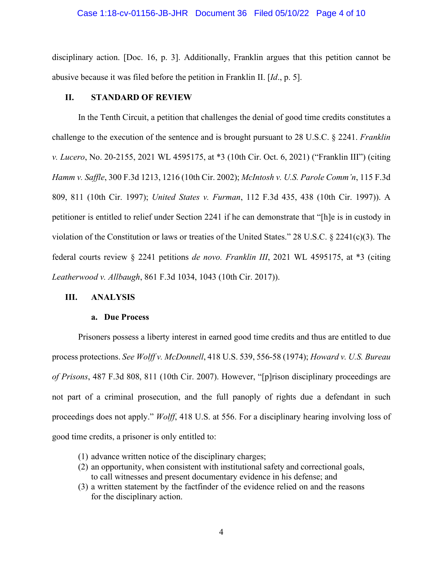disciplinary action. [Doc. 16, p. 3]. Additionally, Franklin argues that this petition cannot be abusive because it was filed before the petition in Franklin II. [*Id*., p. 5].

#### **II. STANDARD OF REVIEW**

In the Tenth Circuit, a petition that challenges the denial of good time credits constitutes a challenge to the execution of the sentence and is brought pursuant to 28 U.S.C. § 2241. *Franklin v. Lucero*, No. 20-2155, 2021 WL 4595175, at \*3 (10th Cir. Oct. 6, 2021) ("Franklin III") (citing *Hamm v. Saffle*, 300 F.3d 1213, 1216 (10th Cir. 2002); *McIntosh v. U.S. Parole Comm'n*, 115 F.3d 809, 811 (10th Cir. 1997); *United States v. Furman*, 112 F.3d 435, 438 (10th Cir. 1997)). A petitioner is entitled to relief under Section 2241 if he can demonstrate that "[h]e is in custody in violation of the Constitution or laws or treaties of the United States." 28 U.S.C. § 2241(c)(3). The federal courts review § 2241 petitions *de novo. Franklin III*, 2021 WL 4595175, at \*3 (citing *Leatherwood v. Allbaugh*, 861 F.3d 1034, 1043 (10th Cir. 2017)).

#### **III. ANALYSIS**

#### **a. Due Process**

Prisoners possess a liberty interest in earned good time credits and thus are entitled to due process protections. *See Wolff v. McDonnell*, 418 U.S. 539, 556-58 (1974); *Howard v. U.S. Bureau of Prisons*, 487 F.3d 808, 811 (10th Cir. 2007). However, "[p]rison disciplinary proceedings are not part of a criminal prosecution, and the full panoply of rights due a defendant in such proceedings does not apply." *Wolff*, 418 U.S. at 556. For a disciplinary hearing involving loss of good time credits, a prisoner is only entitled to:

- (1) advance written notice of the disciplinary charges;
- (2) an opportunity, when consistent with institutional safety and correctional goals, to call witnesses and present documentary evidence in his defense; and
- (3) a written statement by the factfinder of the evidence relied on and the reasons for the disciplinary action.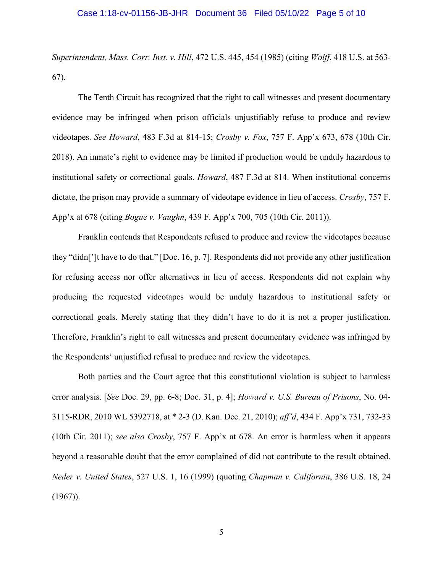*Superintendent, Mass. Corr. Inst. v. Hill*, 472 U.S. 445, 454 (1985) (citing *Wolff*, 418 U.S. at 563- 67).

The Tenth Circuit has recognized that the right to call witnesses and present documentary evidence may be infringed when prison officials unjustifiably refuse to produce and review videotapes. *See Howard*, 483 F.3d at 814-15; *Crosby v. Fox*, 757 F. App'x 673, 678 (10th Cir. 2018). An inmate's right to evidence may be limited if production would be unduly hazardous to institutional safety or correctional goals. *Howard*, 487 F.3d at 814. When institutional concerns dictate, the prison may provide a summary of videotape evidence in lieu of access. *Crosby*, 757 F. App'x at 678 (citing *Bogue v. Vaughn*, 439 F. App'x 700, 705 (10th Cir. 2011)).

Franklin contends that Respondents refused to produce and review the videotapes because they "didn[']t have to do that." [Doc. 16, p. 7]. Respondents did not provide any other justification for refusing access nor offer alternatives in lieu of access. Respondents did not explain why producing the requested videotapes would be unduly hazardous to institutional safety or correctional goals. Merely stating that they didn't have to do it is not a proper justification. Therefore, Franklin's right to call witnesses and present documentary evidence was infringed by the Respondents' unjustified refusal to produce and review the videotapes.

Both parties and the Court agree that this constitutional violation is subject to harmless error analysis. [*See* Doc. 29, pp. 6-8; Doc. 31, p. 4]; *Howard v. U.S. Bureau of Prisons*, No. 04- 3115-RDR, 2010 WL 5392718, at \* 2-3 (D. Kan. Dec. 21, 2010); *aff'd*, 434 F. App'x 731, 732-33 (10th Cir. 2011); *see also Crosby*, 757 F. App'x at 678. An error is harmless when it appears beyond a reasonable doubt that the error complained of did not contribute to the result obtained. *Neder v. United States*, 527 U.S. 1, 16 (1999) (quoting *Chapman v. California*, 386 U.S. 18, 24  $(1967)$ ).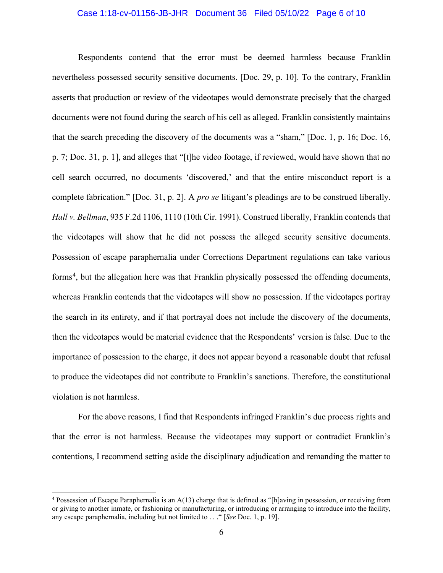#### Case 1:18-cv-01156-JB-JHR Document 36 Filed 05/10/22 Page 6 of 10

Respondents contend that the error must be deemed harmless because Franklin nevertheless possessed security sensitive documents. [Doc. 29, p. 10]. To the contrary, Franklin asserts that production or review of the videotapes would demonstrate precisely that the charged documents were not found during the search of his cell as alleged. Franklin consistently maintains that the search preceding the discovery of the documents was a "sham," [Doc. 1, p. 16; Doc. 16, p. 7; Doc. 31, p. 1], and alleges that "[t]he video footage, if reviewed, would have shown that no cell search occurred, no documents 'discovered,' and that the entire misconduct report is a complete fabrication." [Doc. 31, p. 2]. A *pro se* litigant's pleadings are to be construed liberally. *Hall v. Bellman*, 935 F.2d 1106, 1110 (10th Cir. 1991). Construed liberally, Franklin contends that the videotapes will show that he did not possess the alleged security sensitive documents. Possession of escape paraphernalia under Corrections Department regulations can take various forms<sup>[4](#page-5-0)</sup>, but the allegation here was that Franklin physically possessed the offending documents, whereas Franklin contends that the videotapes will show no possession. If the videotapes portray the search in its entirety, and if that portrayal does not include the discovery of the documents, then the videotapes would be material evidence that the Respondents' version is false. Due to the importance of possession to the charge, it does not appear beyond a reasonable doubt that refusal to produce the videotapes did not contribute to Franklin's sanctions. Therefore, the constitutional violation is not harmless.

For the above reasons, I find that Respondents infringed Franklin's due process rights and that the error is not harmless. Because the videotapes may support or contradict Franklin's contentions, I recommend setting aside the disciplinary adjudication and remanding the matter to

<span id="page-5-0"></span> $4$  Possession of Escape Paraphernalia is an  $A(13)$  charge that is defined as "[h]aving in possession, or receiving from or giving to another inmate, or fashioning or manufacturing, or introducing or arranging to introduce into the facility, any escape paraphernalia, including but not limited to . . ." [*See* Doc. 1, p. 19].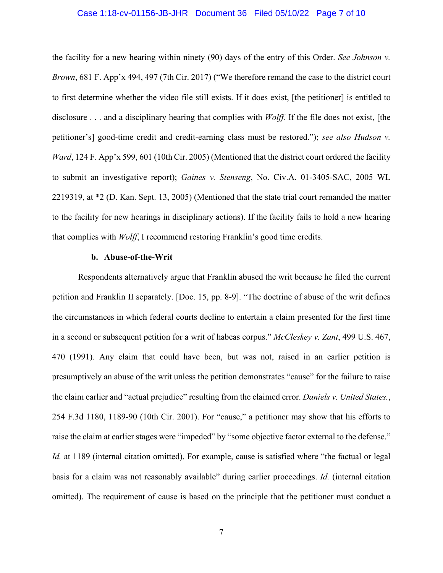#### Case 1:18-cv-01156-JB-JHR Document 36 Filed 05/10/22 Page 7 of 10

the facility for a new hearing within ninety (90) days of the entry of this Order. *See Johnson v. Brown*, 681 F. App'x 494, 497 (7th Cir. 2017) ("We therefore remand the case to the district court to first determine whether the video file still exists. If it does exist, [the petitioner] is entitled to disclosure . . . and a disciplinary hearing that complies with *Wolff*. If the file does not exist, [the petitioner's] good-time credit and credit-earning class must be restored."); *see also Hudson v. Ward*, 124 F. App'x 599, 601 (10th Cir. 2005) (Mentioned that the district court ordered the facility to submit an investigative report); *Gaines v. Stenseng*, No. Civ.A. 01-3405-SAC, 2005 WL 2219319, at \*2 (D. Kan. Sept. 13, 2005) (Mentioned that the state trial court remanded the matter to the facility for new hearings in disciplinary actions). If the facility fails to hold a new hearing that complies with *Wolff*, I recommend restoring Franklin's good time credits.

#### **b. Abuse-of-the-Writ**

Respondents alternatively argue that Franklin abused the writ because he filed the current petition and Franklin II separately. [Doc. 15, pp. 8-9]. "The doctrine of abuse of the writ defines the circumstances in which federal courts decline to entertain a claim presented for the first time in a second or subsequent petition for a writ of habeas corpus." *McCleskey v. Zant*, 499 U.S. 467, 470 (1991). Any claim that could have been, but was not, raised in an earlier petition is presumptively an abuse of the writ unless the petition demonstrates "cause" for the failure to raise the claim earlier and "actual prejudice" resulting from the claimed error. *Daniels v. United States.*, 254 F.3d 1180, 1189-90 (10th Cir. 2001). For "cause," a petitioner may show that his efforts to raise the claim at earlier stages were "impeded" by "some objective factor external to the defense." *Id.* at 1189 (internal citation omitted). For example, cause is satisfied where "the factual or legal basis for a claim was not reasonably available" during earlier proceedings. *Id.* (internal citation omitted). The requirement of cause is based on the principle that the petitioner must conduct a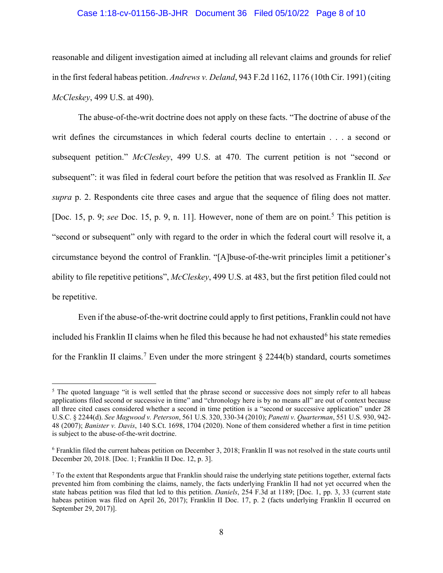#### Case 1:18-cv-01156-JB-JHR Document 36 Filed 05/10/22 Page 8 of 10

reasonable and diligent investigation aimed at including all relevant claims and grounds for relief in the first federal habeas petition. *Andrews v. Deland*, 943 F.2d 1162, 1176 (10th Cir. 1991) (citing *McCleskey*, 499 U.S. at 490).

The abuse-of-the-writ doctrine does not apply on these facts. "The doctrine of abuse of the writ defines the circumstances in which federal courts decline to entertain . . . a second or subsequent petition." *McCleskey*, 499 U.S. at 470. The current petition is not "second or subsequent": it was filed in federal court before the petition that was resolved as Franklin II. *See supra* p. 2. Respondents cite three cases and argue that the sequence of filing does not matter. [Doc. 1[5](#page-7-0), p. 9; *see* Doc. 15, p. 9, n. 11]. However, none of them are on point.<sup>5</sup> This petition is "second or subsequent" only with regard to the order in which the federal court will resolve it, a circumstance beyond the control of Franklin. "[A]buse-of-the-writ principles limit a petitioner's ability to file repetitive petitions", *McCleskey*, 499 U.S. at 483, but the first petition filed could not be repetitive.

Even if the abuse-of-the-writ doctrine could apply to first petitions, Franklin could not have included his Franklin II claims when he filed this because he had not exhausted $6$  his state remedies for the Franklin II claims.<sup>[7](#page-7-2)</sup> Even under the more stringent  $\S$  2244(b) standard, courts sometimes

<span id="page-7-0"></span><sup>&</sup>lt;sup>5</sup> The quoted language "it is well settled that the phrase second or successive does not simply refer to all habeas applications filed second or successive in time" and "chronology here is by no means all" are out of context because all three cited cases considered whether a second in time petition is a "second or successive application" under 28 U.S.C. § 2244(d). *See Magwood v. Peterson*, 561 U.S. 320, 330-34 (2010); *Panetti v. Quarterman*, 551 U.S. 930, 942- 48 (2007); *Banister v. Davis*, 140 S.Ct. 1698, 1704 (2020). None of them considered whether a first in time petition is subject to the abuse-of-the-writ doctrine.

<span id="page-7-1"></span><sup>6</sup> Franklin filed the current habeas petition on December 3, 2018; Franklin II was not resolved in the state courts until December 20, 2018. [Doc. 1; Franklin II Doc. 12, p. 3].

<span id="page-7-2"></span> $<sup>7</sup>$  To the extent that Respondents argue that Franklin should raise the underlying state petitions together, external facts</sup> prevented him from combining the claims, namely, the facts underlying Franklin II had not yet occurred when the state habeas petition was filed that led to this petition. *Daniels*, 254 F.3d at 1189; [Doc. 1, pp. 3, 33 (current state habeas petition was filed on April 26, 2017); Franklin II Doc. 17, p. 2 (facts underlying Franklin II occurred on September 29, 2017)].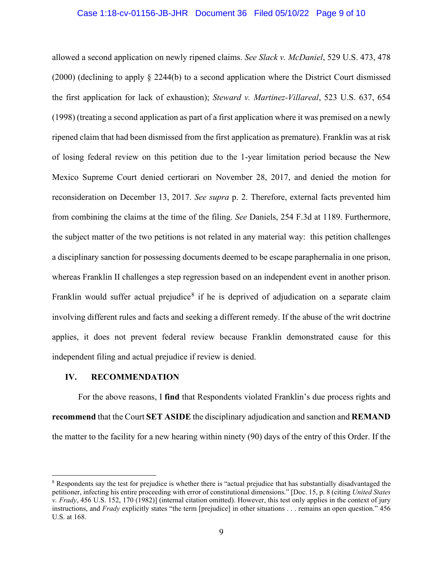#### Case 1:18-cv-01156-JB-JHR Document 36 Filed 05/10/22 Page 9 of 10

allowed a second application on newly ripened claims. *See Slack v. McDaniel*, 529 U.S. 473, 478 (2000) (declining to apply § 2244(b) to a second application where the District Court dismissed the first application for lack of exhaustion); *Steward v. Martinez-Villareal*, 523 U.S. 637, 654 (1998) (treating a second application as part of a first application where it was premised on a newly ripened claim that had been dismissed from the first application as premature). Franklin was at risk of losing federal review on this petition due to the 1-year limitation period because the New Mexico Supreme Court denied certiorari on November 28, 2017, and denied the motion for reconsideration on December 13, 2017. *See supra* p. 2. Therefore, external facts prevented him from combining the claims at the time of the filing. *See* Daniels, 254 F.3d at 1189. Furthermore, the subject matter of the two petitions is not related in any material way: this petition challenges a disciplinary sanction for possessing documents deemed to be escape paraphernalia in one prison, whereas Franklin II challenges a step regression based on an independent event in another prison. Franklin would suffer actual prejudice<sup>[8](#page-8-0)</sup> if he is deprived of adjudication on a separate claim involving different rules and facts and seeking a different remedy. If the abuse of the writ doctrine applies, it does not prevent federal review because Franklin demonstrated cause for this independent filing and actual prejudice if review is denied.

#### **IV. RECOMMENDATION**

For the above reasons, I **find** that Respondents violated Franklin's due process rights and **recommend** that the Court **SET ASIDE** the disciplinary adjudication and sanction and **REMAND** the matter to the facility for a new hearing within ninety (90) days of the entry of this Order. If the

<span id="page-8-0"></span><sup>&</sup>lt;sup>8</sup> Respondents say the test for prejudice is whether there is "actual prejudice that has substantially disadvantaged the petitioner, infecting his entire proceeding with error of constitutional dimensions." [Doc. 15, p. 8 (citing *United States v. Frady*, 456 U.S. 152, 170 (1982)] (internal citation omitted). However, this test only applies in the context of jury instructions, and *Frady* explicitly states "the term [prejudice] in other situations . . . remains an open question." 456 U.S. at 168.